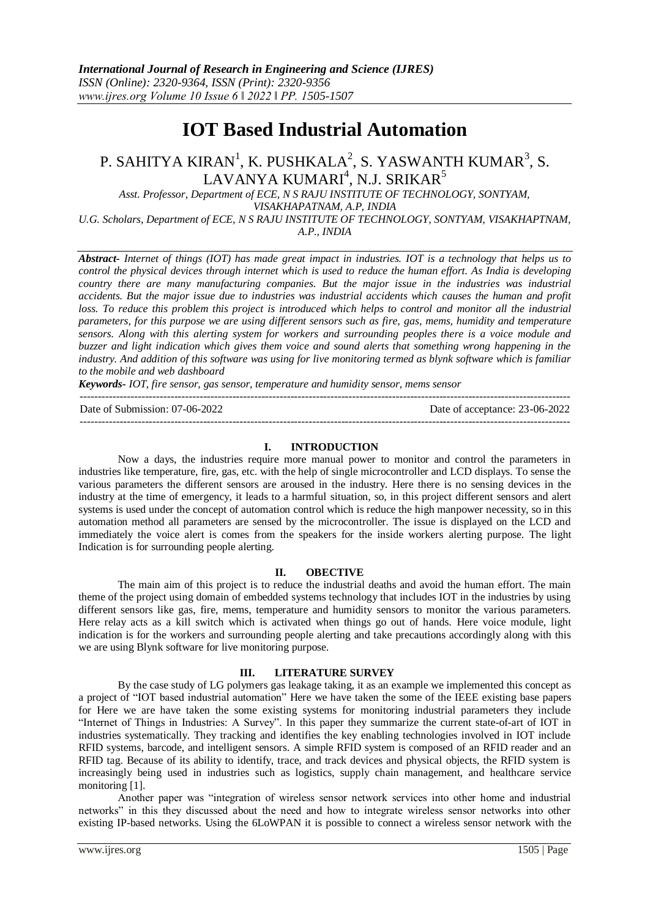# **IOT Based Industrial Automation**

## P. SAHITYA KIRAN $^1$ , K. PUSHKALA $^2$ , S. YASWANTH KUMAR $^3$ , S.  $\rm LAVANYA~KUMARI^4, N.J.~SRIKAR^5$

*Asst. Professor, Department of ECE, N S RAJU INSTITUTE OF TECHNOLOGY, SONTYAM, VISAKHAPATNAM, A.P, INDIA U.G. Scholars, Department of ECE, N S RAJU INSTITUTE OF TECHNOLOGY, SONTYAM, VISAKHAPTNAM, A.P., INDIA*

*Abstract- Internet of things (IOT) has made great impact in industries. IOT is a technology that helps us to control the physical devices through internet which is used to reduce the human effort. As India is developing country there are many manufacturing companies. But the major issue in the industries was industrial accidents. But the major issue due to industries was industrial accidents which causes the human and profit*  loss. To reduce this problem this project is introduced which helps to control and monitor all the industrial *parameters, for this purpose we are using different sensors such as fire, gas, mems, humidity and temperature sensors. Along with this alerting system for workers and surrounding peoples there is a voice module and buzzer and light indication which gives them voice and sound alerts that something wrong happening in the industry. And addition of this software was using for live monitoring termed as blynk software which is familiar to the mobile and web dashboard*

*Keywords- IOT, fire sensor, gas sensor, temperature and humidity sensor, mems sensor*  $-1.1$ 

Date of Submission: 07-06-2022 Date of acceptance: 23-06-2022

#### **I. INTRODUCTION**

---------------------------------------------------------------------------------------------------------------------------------------

Now a days, the industries require more manual power to monitor and control the parameters in industries like temperature, fire, gas, etc. with the help of single microcontroller and LCD displays. To sense the various parameters the different sensors are aroused in the industry. Here there is no sensing devices in the industry at the time of emergency, it leads to a harmful situation, so, in this project different sensors and alert systems is used under the concept of automation control which is reduce the high manpower necessity, so in this automation method all parameters are sensed by the microcontroller. The issue is displayed on the LCD and immediately the voice alert is comes from the speakers for the inside workers alerting purpose. The light Indication is for surrounding people alerting.

#### **II. OBECTIVE**

The main aim of this project is to reduce the industrial deaths and avoid the human effort. The main theme of the project using domain of embedded systems technology that includes IOT in the industries by using different sensors like gas, fire, mems, temperature and humidity sensors to monitor the various parameters. Here relay acts as a kill switch which is activated when things go out of hands. Here voice module, light indication is for the workers and surrounding people alerting and take precautions accordingly along with this we are using Blynk software for live monitoring purpose.

#### **III. LITERATURE SURVEY**

By the case study of LG polymers gas leakage taking, it as an example we implemented this concept as a project of "IOT based industrial automation" Here we have taken the some of the IEEE existing base papers for Here we are have taken the some existing systems for monitoring industrial parameters they include "Internet of Things in Industries: A Survey". In this paper they summarize the current state-of-art of IOT in industries systematically. They tracking and identifies the key enabling technologies involved in IOT include RFID systems, barcode, and intelligent sensors. A simple RFID system is composed of an RFID reader and an RFID tag. Because of its ability to identify, trace, and track devices and physical objects, the RFID system is increasingly being used in industries such as logistics, supply chain management, and healthcare service monitoring [1].

Another paper was "integration of wireless sensor network services into other home and industrial networks" in this they discussed about the need and how to integrate wireless sensor networks into other existing IP-based networks. Using the 6LoWPAN it is possible to connect a wireless sensor network with the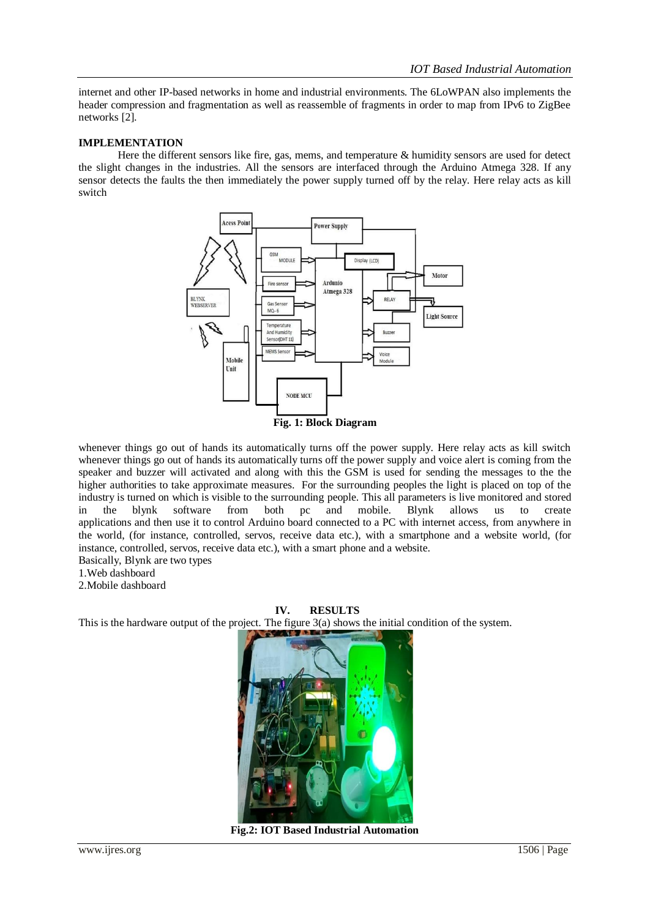internet and other IP-based networks in home and industrial environments. The 6LoWPAN also implements the header compression and fragmentation as well as reassemble of fragments in order to map from IPv6 to ZigBee networks [2].

#### **IMPLEMENTATION**

Here the different sensors like fire, gas, mems, and temperature & humidity sensors are used for detect the slight changes in the industries. All the sensors are interfaced through the Arduino Atmega 328. If any sensor detects the faults the then immediately the power supply turned off by the relay. Here relay acts as kill switch



whenever things go out of hands its automatically turns off the power supply. Here relay acts as kill switch whenever things go out of hands its automatically turns off the power supply and voice alert is coming from the speaker and buzzer will activated and along with this the GSM is used for sending the messages to the the higher authorities to take approximate measures. For the surrounding peoples the light is placed on top of the industry is turned on which is visible to the surrounding people. This all parameters is live monitored and stored in the blynk software from both pc and mobile. Blynk allows us to create applications and then use it to control Arduino board connected to a PC with internet access, from anywhere in the world, (for instance, controlled, servos, receive data etc.), with a smartphone and a website world, (for instance, controlled, servos, receive data etc.), with a smart phone and a website.

Basically, Blynk are two types

1.Web dashboard

2.Mobile dashboard

#### **IV. RESULTS**

This is the hardware output of the project. The figure 3(a) shows the initial condition of the system.



**Fig.2: IOT Based Industrial Automation**